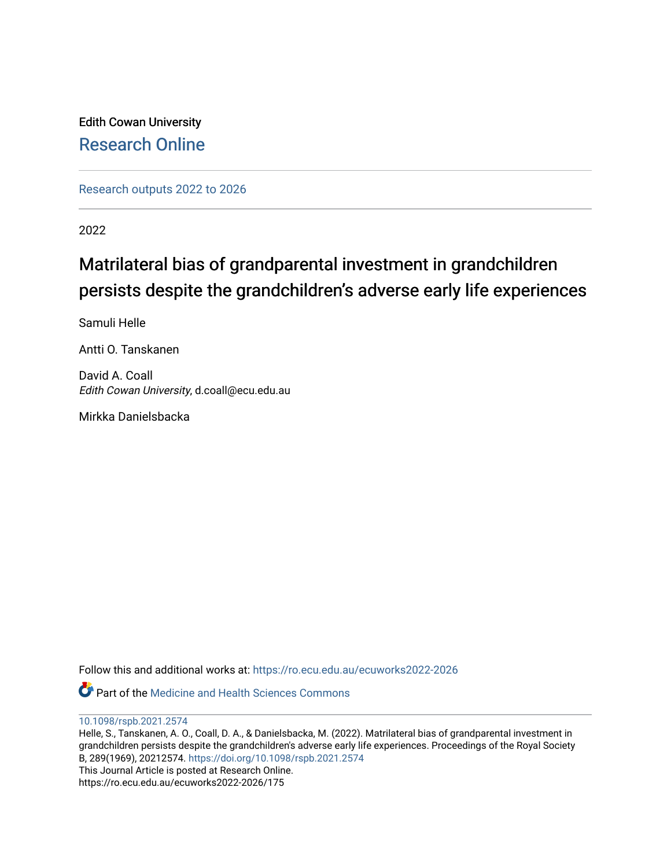Edith Cowan University [Research Online](https://ro.ecu.edu.au/) 

[Research outputs 2022 to 2026](https://ro.ecu.edu.au/ecuworks2022-2026) 

2022

# Matrilateral bias of grandparental investment in grandchildren persists despite the grandchildren's adverse early life experiences

Samuli Helle

Antti O. Tanskanen

David A. Coall Edith Cowan University, d.coall@ecu.edu.au

Mirkka Danielsbacka

Follow this and additional works at: [https://ro.ecu.edu.au/ecuworks2022-2026](https://ro.ecu.edu.au/ecuworks2022-2026?utm_source=ro.ecu.edu.au%2Fecuworks2022-2026%2F175&utm_medium=PDF&utm_campaign=PDFCoverPages)

**C** Part of the Medicine and Health Sciences Commons

[10.1098/rspb.2021.2574](http://dx.doi.org/10.1098/rspb.2021.2574)

Helle, S., Tanskanen, A. O., Coall, D. A., & Danielsbacka, M. (2022). Matrilateral bias of grandparental investment in grandchildren persists despite the grandchildren's adverse early life experiences. Proceedings of the Royal Society B, 289(1969), 20212574.<https://doi.org/10.1098/rspb.2021.2574> This Journal Article is posted at Research Online.

https://ro.ecu.edu.au/ecuworks2022-2026/175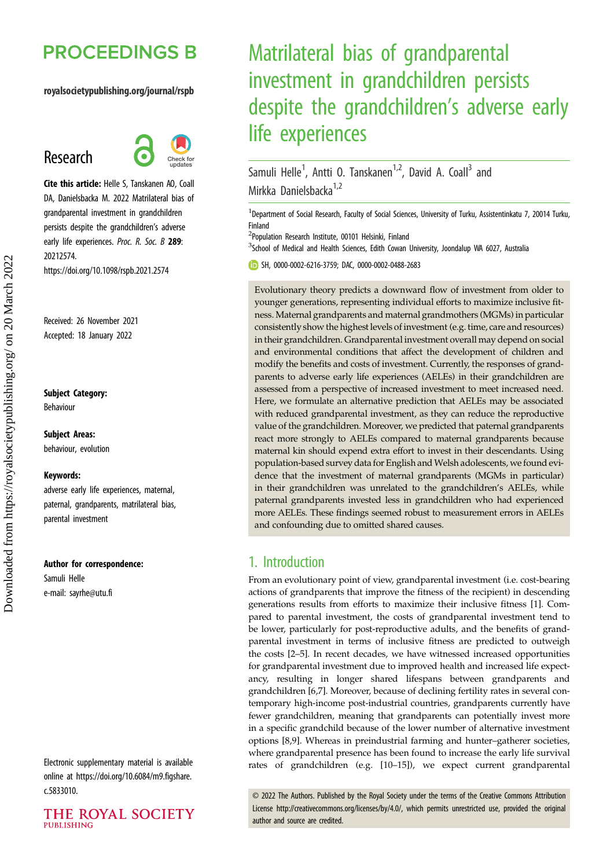# **PROCEEDINGS B**

## royalsocietypublishing.org/journal/rspb

## Research



Cite this article: Helle S, Tanskanen AO, Coall DA, Danielsbacka M. 2022 Matrilateral bias of grandparental investment in grandchildren persists despite the grandchildren's adverse early life experiences. Proc. R. Soc. B 289: 20212574. https://doi.org/10.1098/rspb.2021.2574

Received: 26 November 2021 Accepted: 18 January 2022

#### Subject Category:

Behaviour

## Subject Areas:

behaviour, evolution

#### Keywords:

adverse early life experiences, maternal, paternal, grandparents, matrilateral bias, parental investment

#### Author for correspondence:

Samuli Helle e-mail: [sayrhe@utu.fi](mailto:sayrhe@utu.fi)

Electronic supplementary material is available online at [https://doi.org/10.6084/m9.figshare.](https://doi.org/10.6084/m9.figshare.c.5833010) [c.5833010.](https://doi.org/10.6084/m9.figshare.c.5833010)



# Matrilateral bias of grandparental investment in grandchildren persists despite the grandchildren's adverse early life experiences

Samuli Helle<sup>1</sup>, Antti O. Tanskanen<sup>1,2</sup>, David A. Coall<sup>3</sup> and Mirkka Danielsbacka<sup>1,2</sup>

<sup>1</sup>Department of Social Research, Faculty of Social Sciences, University of Turku, Assistentinkatu 7, 20014 Turku, Finland

<sup>2</sup>Population Research Institute, 00101 Helsinki, Finland

<sup>3</sup>School of Medical and Health Sciences, Edith Cowan University, Joondalup WA 6027, Australia

SH, [0000-0002-6216-3759;](http://orcid.org/0000-0002-6216-3759) DAC, [0000-0002-0488-2683](http://orcid.org/0000-0002-0488-2683)

Evolutionary theory predicts a downward flow of investment from older to younger generations, representing individual efforts to maximize inclusive fitness. Maternal grandparents and maternal grandmothers (MGMs) in particular consistently show the highest levels of investment (e.g. time, care and resources) in their grandchildren. Grandparental investment overall may depend on social and environmental conditions that affect the development of children and modify the benefits and costs of investment. Currently, the responses of grandparents to adverse early life experiences (AELEs) in their grandchildren are assessed from a perspective of increased investment to meet increased need. Here, we formulate an alternative prediction that AELEs may be associated with reduced grandparental investment, as they can reduce the reproductive value of the grandchildren. Moreover, we predicted that paternal grandparents react more strongly to AELEs compared to maternal grandparents because maternal kin should expend extra effort to invest in their descendants. Using population-based survey data for English and Welsh adolescents, we found evidence that the investment of maternal grandparents (MGMs in particular) in their grandchildren was unrelated to the grandchildren's AELEs, while paternal grandparents invested less in grandchildren who had experienced more AELEs. These findings seemed robust to measurement errors in AELEs and confounding due to omitted shared causes.

## 1. Introduction

From an evolutionary point of view, grandparental investment (i.e. cost-bearing actions of grandparents that improve the fitness of the recipient) in descending generations results from efforts to maximize their inclusive fitness [\[1](#page-8-0)]. Compared to parental investment, the costs of grandparental investment tend to be lower, particularly for post-reproductive adults, and the benefits of grandparental investment in terms of inclusive fitness are predicted to outweigh the costs [[2](#page-8-0)–[5](#page-9-0)]. In recent decades, we have witnessed increased opportunities for grandparental investment due to improved health and increased life expectancy, resulting in longer shared lifespans between grandparents and grandchildren [[6,7\]](#page-9-0). Moreover, because of declining fertility rates in several contemporary high-income post-industrial countries, grandparents currently have fewer grandchildren, meaning that grandparents can potentially invest more in a specific grandchild because of the lower number of alternative investment options [\[8,9\]](#page-9-0). Whereas in preindustrial farming and hunter–gatherer societies, where grandparental presence has been found to increase the early life survival rates of grandchildren (e.g. [[10](#page-9-0)–[15](#page-9-0)]), we expect current grandparental

© 2022 The Authors. Published by the Royal Society under the terms of the Creative Commons Attribution License<http://creativecommons.org/licenses/by/4.0/>, which permits unrestricted use, provided the original author and source are credited.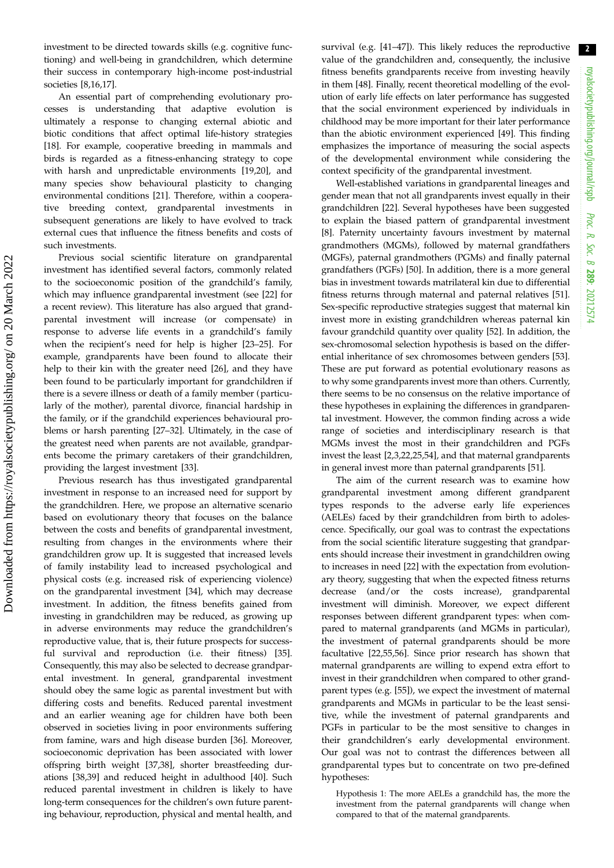2

investment to be directed towards skills (e.g. cognitive functioning) and well-being in grandchildren, which determine their success in contemporary high-income post-industrial societies [\[8,16,17](#page-9-0)].

An essential part of comprehending evolutionary processes is understanding that adaptive evolution is ultimately a response to changing external abiotic and biotic conditions that affect optimal life-history strategies [\[18](#page-9-0)]. For example, cooperative breeding in mammals and birds is regarded as a fitness-enhancing strategy to cope with harsh and unpredictable environments [\[19](#page-9-0),[20\]](#page-9-0), and many species show behavioural plasticity to changing environmental conditions [\[21](#page-9-0)]. Therefore, within a cooperative breeding context, grandparental investments in subsequent generations are likely to have evolved to track external cues that influence the fitness benefits and costs of such investments.

Previous social scientific literature on grandparental investment has identified several factors, commonly related to the socioeconomic position of the grandchild's family, which may influence grandparental investment (see [\[22](#page-9-0)] for a recent review). This literature has also argued that grandparental investment will increase (or compensate) in response to adverse life events in a grandchild's family when the recipient's need for help is higher [[23](#page-9-0)–[25](#page-9-0)]. For example, grandparents have been found to allocate their help to their kin with the greater need [[26\]](#page-9-0), and they have been found to be particularly important for grandchildren if there is a severe illness or death of a family member (particularly of the mother), parental divorce, financial hardship in the family, or if the grandchild experiences behavioural problems or harsh parenting [\[27](#page-9-0)–[32\]](#page-9-0). Ultimately, in the case of the greatest need when parents are not available, grandparents become the primary caretakers of their grandchildren, providing the largest investment [[33\]](#page-9-0).

Previous research has thus investigated grandparental investment in response to an increased need for support by the grandchildren. Here, we propose an alternative scenario based on evolutionary theory that focuses on the balance between the costs and benefits of grandparental investment, resulting from changes in the environments where their grandchildren grow up. It is suggested that increased levels of family instability lead to increased psychological and physical costs (e.g. increased risk of experiencing violence) on the grandparental investment [[34\]](#page-9-0), which may decrease investment. In addition, the fitness benefits gained from investing in grandchildren may be reduced, as growing up in adverse environments may reduce the grandchildren's reproductive value, that is, their future prospects for successful survival and reproduction (i.e. their fitness) [\[35](#page-9-0)]. Consequently, this may also be selected to decrease grandparental investment. In general, grandparental investment should obey the same logic as parental investment but with differing costs and benefits. Reduced parental investment and an earlier weaning age for children have both been observed in societies living in poor environments suffering from famine, wars and high disease burden [\[36](#page-9-0)]. Moreover, socioeconomic deprivation has been associated with lower offspring birth weight [\[37,38](#page-9-0)], shorter breastfeeding durations [\[38](#page-9-0),[39](#page-9-0)] and reduced height in adulthood [[40\]](#page-9-0). Such reduced parental investment in children is likely to have long-term consequences for the children's own future parenting behaviour, reproduction, physical and mental health, and survival (e.g. [\[41](#page-9-0)–[47\]](#page-9-0)). This likely reduces the reproductive value of the grandchildren and, consequently, the inclusive fitness benefits grandparents receive from investing heavily in them [[48\]](#page-9-0). Finally, recent theoretical modelling of the evolution of early life effects on later performance has suggested that the social environment experienced by individuals in childhood may be more important for their later performance than the abiotic environment experienced [\[49](#page-9-0)]. This finding emphasizes the importance of measuring the social aspects of the developmental environment while considering the context specificity of the grandparental investment.

Well-established variations in grandparental lineages and gender mean that not all grandparents invest equally in their grandchildren [\[22](#page-9-0)]. Several hypotheses have been suggested to explain the biased pattern of grandparental investment [[8](#page-9-0)]. Paternity uncertainty favours investment by maternal grandmothers (MGMs), followed by maternal grandfathers (MGFs), paternal grandmothers (PGMs) and finally paternal grandfathers (PGFs) [[50\]](#page-10-0). In addition, there is a more general bias in investment towards matrilateral kin due to differential fitness returns through maternal and paternal relatives [[51\]](#page-10-0). Sex-specific reproductive strategies suggest that maternal kin invest more in existing grandchildren whereas paternal kin favour grandchild quantity over quality [[52\]](#page-10-0). In addition, the sex-chromosomal selection hypothesis is based on the differential inheritance of sex chromosomes between genders [[53\]](#page-10-0). These are put forward as potential evolutionary reasons as to why some grandparents invest more than others. Currently, there seems to be no consensus on the relative importance of these hypotheses in explaining the differences in grandparental investment. However, the common finding across a wide range of societies and interdisciplinary research is that MGMs invest the most in their grandchildren and PGFs invest the least [\[2,3,](#page-8-0)[22,25](#page-9-0)[,54](#page-10-0)], and that maternal grandparents in general invest more than paternal grandparents [[51\]](#page-10-0).

The aim of the current research was to examine how grandparental investment among different grandparent types responds to the adverse early life experiences (AELEs) faced by their grandchildren from birth to adolescence. Specifically, our goal was to contrast the expectations from the social scientific literature suggesting that grandparents should increase their investment in grandchildren owing to increases in need [\[22](#page-9-0)] with the expectation from evolutionary theory, suggesting that when the expected fitness returns decrease (and/or the costs increase), grandparental investment will diminish. Moreover, we expect different responses between different grandparent types: when compared to maternal grandparents (and MGMs in particular), the investment of paternal grandparents should be more facultative [\[22](#page-9-0)[,55](#page-10-0),[56\]](#page-10-0). Since prior research has shown that maternal grandparents are willing to expend extra effort to invest in their grandchildren when compared to other grandparent types (e.g. [[55\]](#page-10-0)), we expect the investment of maternal grandparents and MGMs in particular to be the least sensitive, while the investment of paternal grandparents and PGFs in particular to be the most sensitive to changes in their grandchildren's early developmental environment. Our goal was not to contrast the differences between all grandparental types but to concentrate on two pre-defined hypotheses:

Hypothesis 1: The more AELEs a grandchild has, the more the investment from the paternal grandparents will change when compared to that of the maternal grandparents.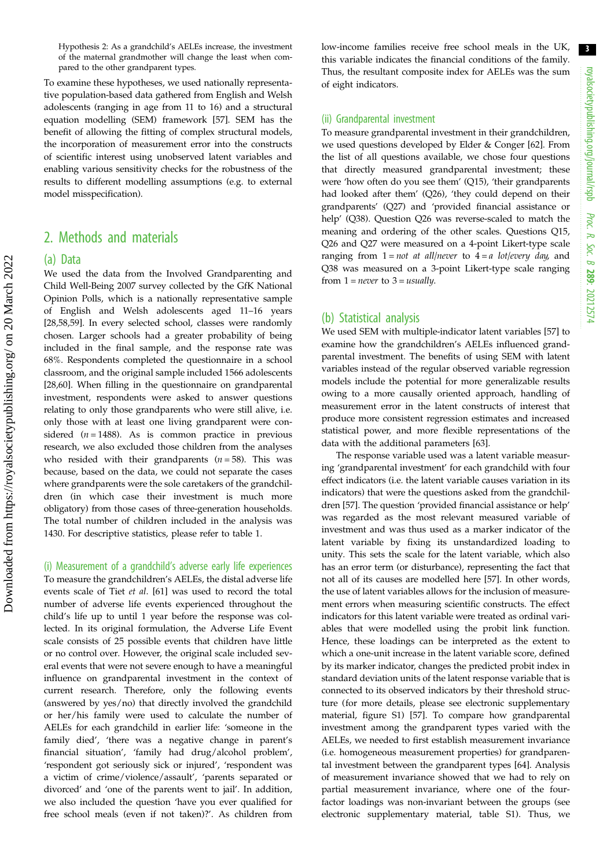Hypothesis 2: As a grandchild's AELEs increase, the investment of the maternal grandmother will change the least when compared to the other grandparent types.

To examine these hypotheses, we used nationally representative population-based data gathered from English and Welsh adolescents (ranging in age from 11 to 16) and a structural equation modelling (SEM) framework [\[57](#page-10-0)]. SEM has the benefit of allowing the fitting of complex structural models, the incorporation of measurement error into the constructs of scientific interest using unobserved latent variables and enabling various sensitivity checks for the robustness of the results to different modelling assumptions (e.g. to external model misspecification).

## 2. Methods and materials

## (a) Data

We used the data from the Involved Grandparenting and Child Well-Being 2007 survey collected by the GfK National Opinion Polls, which is a nationally representative sample of English and Welsh adolescents aged 11–16 years [\[28](#page-9-0),[58,59\]](#page-10-0). In every selected school, classes were randomly chosen. Larger schools had a greater probability of being included in the final sample, and the response rate was 68%. Respondents completed the questionnaire in a school classroom, and the original sample included 1566 adolescents [\[28](#page-9-0),[60\]](#page-10-0). When filling in the questionnaire on grandparental investment, respondents were asked to answer questions relating to only those grandparents who were still alive, i.e. only those with at least one living grandparent were considered ( $n = 1488$ ). As is common practice in previous research, we also excluded those children from the analyses who resided with their grandparents  $(n = 58)$ . This was because, based on the data, we could not separate the cases where grandparents were the sole caretakers of the grandchildren (in which case their investment is much more obligatory) from those cases of three-generation households. The total number of children included in the analysis was 1430. For descriptive statistics, please refer to [table 1](#page-4-0).

(i) Measurement of a grandchild's adverse early life experiences To measure the grandchildren's AELEs, the distal adverse life events scale of Tiet et al. [[61\]](#page-10-0) was used to record the total number of adverse life events experienced throughout the child's life up to until 1 year before the response was collected. In its original formulation, the Adverse Life Event scale consists of 25 possible events that children have little or no control over. However, the original scale included several events that were not severe enough to have a meaningful influence on grandparental investment in the context of current research. Therefore, only the following events (answered by yes/no) that directly involved the grandchild or her/his family were used to calculate the number of AELEs for each grandchild in earlier life: 'someone in the family died', 'there was a negative change in parent's financial situation', 'family had drug/alcohol problem', 'respondent got seriously sick or injured', 'respondent was a victim of crime/violence/assault', 'parents separated or divorced' and 'one of the parents went to jail'. In addition, we also included the question 'have you ever qualified for free school meals (even if not taken)?'. As children from low-income families receive free school meals in the UK, this variable indicates the financial conditions of the family. Thus, the resultant composite index for AELEs was the sum of eight indicators.

#### (ii) Grandparental investment

To measure grandparental investment in their grandchildren, we used questions developed by Elder & Conger [[62\]](#page-10-0). From the list of all questions available, we chose four questions that directly measured grandparental investment; these were 'how often do you see them' (Q15), 'their grandparents had looked after them' (Q26), 'they could depend on their grandparents' (Q27) and 'provided financial assistance or help' (Q38). Question Q26 was reverse-scaled to match the meaning and ordering of the other scales. Questions Q15, Q26 and Q27 were measured on a 4-point Likert-type scale ranging from  $1 = not$  at all/never to  $4 = a$  lot/every day, and Q38 was measured on a 3-point Likert-type scale ranging from  $1 = never$  to  $3 = usually$ .

## (b) Statistical analysis

We used SEM with multiple-indicator latent variables [\[57](#page-10-0)] to examine how the grandchildren's AELEs influenced grandparental investment. The benefits of using SEM with latent variables instead of the regular observed variable regression models include the potential for more generalizable results owing to a more causally oriented approach, handling of measurement error in the latent constructs of interest that produce more consistent regression estimates and increased statistical power, and more flexible representations of the data with the additional parameters [\[63](#page-10-0)].

The response variable used was a latent variable measuring 'grandparental investment' for each grandchild with four effect indicators (i.e. the latent variable causes variation in its indicators) that were the questions asked from the grandchildren [\[57](#page-10-0)]. The question 'provided financial assistance or help' was regarded as the most relevant measured variable of investment and was thus used as a marker indicator of the latent variable by fixing its unstandardized loading to unity. This sets the scale for the latent variable, which also has an error term (or disturbance), representing the fact that not all of its causes are modelled here [\[57](#page-10-0)]. In other words, the use of latent variables allows for the inclusion of measurement errors when measuring scientific constructs. The effect indicators for this latent variable were treated as ordinal variables that were modelled using the probit link function. Hence, these loadings can be interpreted as the extent to which a one-unit increase in the latent variable score, defined by its marker indicator, changes the predicted probit index in standard deviation units of the latent response variable that is connected to its observed indicators by their threshold structure (for more details, please see electronic supplementary material, figure S1) [\[57](#page-10-0)]. To compare how grandparental investment among the grandparent types varied with the AELEs, we needed to first establish measurement invariance (i.e. homogeneous measurement properties) for grandparental investment between the grandparent types [[64\]](#page-10-0). Analysis of measurement invariance showed that we had to rely on partial measurement invariance, where one of the fourfactor loadings was non-invariant between the groups (see electronic supplementary material, table S1). Thus, we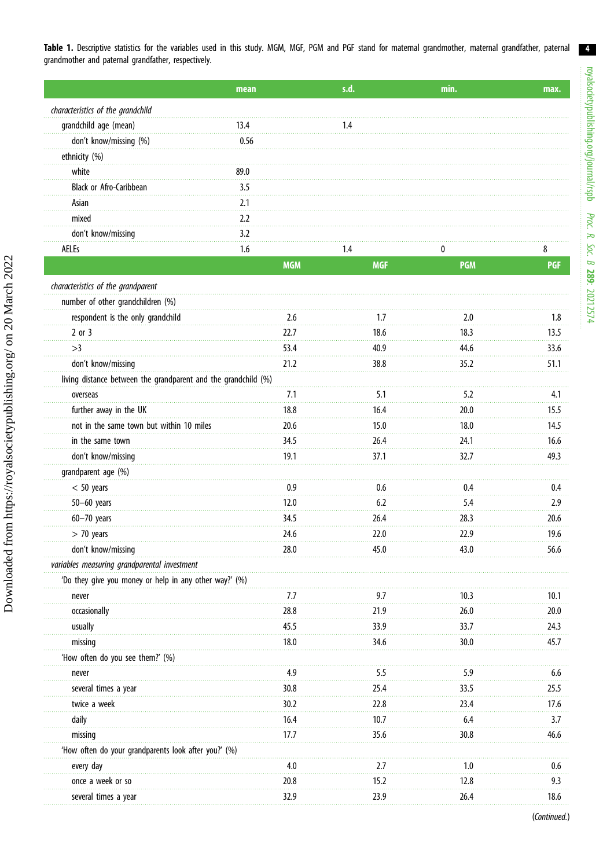<span id="page-4-0"></span>

|                                   | mean |     |     | min. | max. |
|-----------------------------------|------|-----|-----|------|------|
| characteristics of the grandchild |      |     |     |      |      |
| grandchild age (mean)             | 13.4 |     | 4.  |      |      |
| don't know/missing (%)            | 0.56 |     |     |      |      |
| ethnicity (%)                     |      |     |     |      |      |
| white                             | 89.0 |     |     |      |      |
| <b>Black or Afro-Caribbean</b>    | 3.5  |     |     |      |      |
| Asian                             | 2.1  |     |     |      |      |
| mixed                             | 2.2  |     |     |      |      |
| don't know/missing                | 3.2  |     |     |      |      |
| AELEs                             | 1.6  |     | .4  |      | ለ    |
|                                   |      | MGM | MGF | PGM  |      |

| number of other grandchildren (%)                              |      |      |      |      |
|----------------------------------------------------------------|------|------|------|------|
| respondent is the only grandchild                              | 2.6  | 1.7  | 2.0  | 1.8  |
| $2$ or $3$                                                     | 22.7 | 18.6 | 18.3 | 13.5 |
| >3                                                             | 53.4 | 40.9 | 44.6 | 33.6 |
| don't know/missing                                             | 21.2 | 38.8 | 35.2 | 51.1 |
| living distance between the grandparent and the grandchild (%) |      |      |      |      |
| overseas                                                       | 7.1  | 5.1  | 5.2  | 4.1  |
| further away in the UK                                         | 18.8 | 16.4 | 20.0 | 15.5 |
| not in the same town but within 10 miles                       | 20.6 | 15.0 | 18.0 | 14.5 |
| in the same town                                               | 34.5 | 76.4 | 24.1 | 16.6 |
| don't know/missing                                             | 19.1 | 37.1 | 32.7 | 49.3 |
| grandparent age (%)                                            |      |      |      |      |
| $< 50$ years                                                   | 0.9  | 0.6  | 0.4  | 0.4  |
| $50-60$ years                                                  | 12.0 | 6.2  | 5.4  | 2.9  |
| $60 - 70$ years                                                | 34.5 | 26.4 | 28.3 | 20.6 |
| $> 70$ years                                                   | 24.6 | 22.0 | 22.9 | 19.6 |
| don't know/missing                                             | 28.0 | 45.0 | 43.0 | 56.6 |
| variables measuring grandparental investment                   |      |      |      |      |
| 'Do they give you money or help in any other way?' (%)         |      |      |      |      |
| never                                                          | 7.7  | 9.7  | 10.3 | 10.1 |
| occasionally                                                   | 28.8 | 21.9 | 26.0 | 20.0 |
| usually                                                        | 45.5 | 33.9 | 33.7 | 24.3 |
| missing                                                        | 18.0 | 34.6 | 30.0 | 45.7 |
| 'How often do you see them?' (%)                               |      |      |      |      |
| never                                                          | 4.9  | 5.5  | 5.9  | 6.6  |
| several times a year                                           | 30.8 | 25.4 | 33.5 | 25.5 |
| twice a week                                                   | 30.2 | 22.8 | 23.4 | 17.6 |
| daily                                                          | 16.4 | 10.7 | 6.4  | 3.7  |
| missing                                                        | 17.7 | 35.6 | 30.8 | 46.6 |
| 'How often do your grandparents look after you?' (%)           |      |      |      |      |
| every day                                                      | 4.0  | 2.7  | 1.0  | 0.6  |
| once a week or so                                              | 20.8 | 15.2 | 12.8 | 9.3  |
| several times a year                                           | 32.9 | 23.9 | 26.4 | 18.6 |

(Continued.)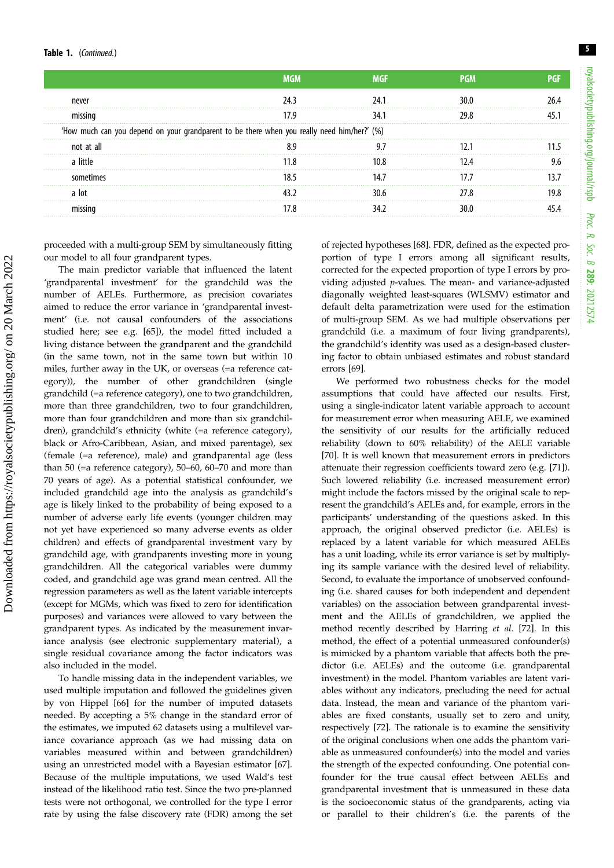Downloaded from https://royalsocietypublishing.org/ on 20 March 2022

Downloaded from https://royalsocietypublishing.org/ on 20 March 2022

| nevei |                                                                                             |  |  |  |  |  |  |
|-------|---------------------------------------------------------------------------------------------|--|--|--|--|--|--|
|       |                                                                                             |  |  |  |  |  |  |
|       | 'How much can you depend on your grandparent to be there when you really need him/her?' (%) |  |  |  |  |  |  |
|       |                                                                                             |  |  |  |  |  |  |
|       |                                                                                             |  |  |  |  |  |  |
|       |                                                                                             |  |  |  |  |  |  |
|       |                                                                                             |  |  |  |  |  |  |
|       |                                                                                             |  |  |  |  |  |  |
|       |                                                                                             |  |  |  |  |  |  |

proceeded with a multi-group SEM by simultaneously fitting our model to all four grandparent types.

The main predictor variable that influenced the latent 'grandparental investment' for the grandchild was the number of AELEs. Furthermore, as precision covariates aimed to reduce the error variance in 'grandparental investment' (i.e. not causal confounders of the associations studied here; see e.g. [[65\]](#page-10-0)), the model fitted included a living distance between the grandparent and the grandchild (in the same town, not in the same town but within 10 miles, further away in the UK, or overseas (=a reference category)), the number of other grandchildren (single grandchild (=a reference category), one to two grandchildren, more than three grandchildren, two to four grandchildren, more than four grandchildren and more than six grandchildren), grandchild's ethnicity (white (=a reference category), black or Afro-Caribbean, Asian, and mixed parentage), sex (female (=a reference), male) and grandparental age (less than 50 (=a reference category), 50–60, 60–70 and more than 70 years of age). As a potential statistical confounder, we included grandchild age into the analysis as grandchild's age is likely linked to the probability of being exposed to a number of adverse early life events (younger children may not yet have experienced so many adverse events as older children) and effects of grandparental investment vary by grandchild age, with grandparents investing more in young grandchildren. All the categorical variables were dummy coded, and grandchild age was grand mean centred. All the regression parameters as well as the latent variable intercepts (except for MGMs, which was fixed to zero for identification purposes) and variances were allowed to vary between the grandparent types. As indicated by the measurement invariance analysis (see electronic supplementary material), a single residual covariance among the factor indicators was also included in the model.

To handle missing data in the independent variables, we used multiple imputation and followed the guidelines given by von Hippel [\[66](#page-10-0)] for the number of imputed datasets needed. By accepting a 5% change in the standard error of the estimates, we imputed 62 datasets using a multilevel variance covariance approach (as we had missing data on variables measured within and between grandchildren) using an unrestricted model with a Bayesian estimator [\[67](#page-10-0)]. Because of the multiple imputations, we used Wald's test instead of the likelihood ratio test. Since the two pre-planned tests were not orthogonal, we controlled for the type I error rate by using the false discovery rate (FDR) among the set of rejected hypotheses [[68\]](#page-10-0). FDR, defined as the expected proportion of type I errors among all significant results, corrected for the expected proportion of type I errors by providing adjusted p-values. The mean- and variance-adjusted diagonally weighted least-squares (WLSMV) estimator and default delta parametrization were used for the estimation of multi-group SEM. As we had multiple observations per grandchild (i.e. a maximum of four living grandparents), the grandchild's identity was used as a design-based clustering factor to obtain unbiased estimates and robust standard errors [[69\]](#page-10-0).

We performed two robustness checks for the model assumptions that could have affected our results. First, using a single-indicator latent variable approach to account for measurement error when measuring AELE, we examined the sensitivity of our results for the artificially reduced reliability (down to 60% reliability) of the AELE variable [[70\]](#page-10-0). It is well known that measurement errors in predictors attenuate their regression coefficients toward zero (e.g. [[71\]](#page-10-0)). Such lowered reliability (i.e. increased measurement error) might include the factors missed by the original scale to represent the grandchild's AELEs and, for example, errors in the participants' understanding of the questions asked. In this approach, the original observed predictor (i.e. AELEs) is replaced by a latent variable for which measured AELEs has a unit loading, while its error variance is set by multiplying its sample variance with the desired level of reliability. Second, to evaluate the importance of unobserved confounding (i.e. shared causes for both independent and dependent variables) on the association between grandparental investment and the AELEs of grandchildren, we applied the method recently described by Harring et al. [\[72](#page-10-0)]. In this method, the effect of a potential unmeasured confounder(s) is mimicked by a phantom variable that affects both the predictor (i.e. AELEs) and the outcome (i.e. grandparental investment) in the model. Phantom variables are latent variables without any indicators, precluding the need for actual data. Instead, the mean and variance of the phantom variables are fixed constants, usually set to zero and unity, respectively [\[72](#page-10-0)]. The rationale is to examine the sensitivity of the original conclusions when one adds the phantom variable as unmeasured confounder(s) into the model and varies the strength of the expected confounding. One potential confounder for the true causal effect between AELEs and grandparental investment that is unmeasured in these data is the socioeconomic status of the grandparents, acting via or parallel to their children's (i.e. the parents of the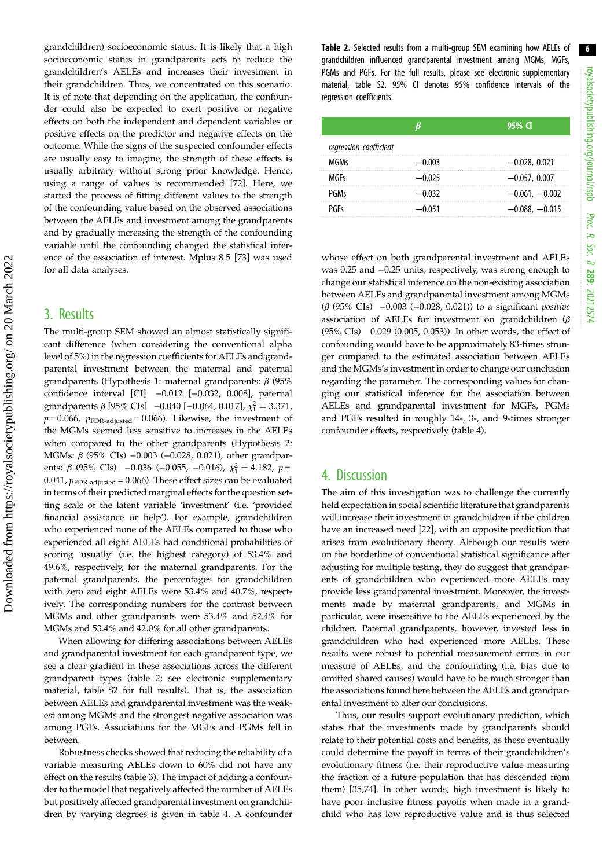grandchildren) socioeconomic status. It is likely that a high socioeconomic status in grandparents acts to reduce the grandchildren's AELEs and increases their investment in their grandchildren. Thus, we concentrated on this scenario. It is of note that depending on the application, the confounder could also be expected to exert positive or negative effects on both the independent and dependent variables or positive effects on the predictor and negative effects on the outcome. While the signs of the suspected confounder effects are usually easy to imagine, the strength of these effects is usually arbitrary without strong prior knowledge. Hence, using a range of values is recommended [\[72](#page-10-0)]. Here, we started the process of fitting different values to the strength of the confounding value based on the observed associations between the AELEs and investment among the grandparents and by gradually increasing the strength of the confounding variable until the confounding changed the statistical inference of the association of interest. Mplus 8.5 [\[73](#page-10-0)] was used for all data analyses.

## 3. Results

The multi-group SEM showed an almost statistically significant difference (when considering the conventional alpha level of 5%) in the regression coefficients for AELEs and grandparental investment between the maternal and paternal grandparents (Hypothesis 1: maternal grandparents: β (95% confidence interval [CI] −0.012 [−0.032, 0.008], paternal grandparents  $\beta$  [95% CIs] -0.040 [-0.064, 0.017],  $\chi_1^2 = 3.371$ ,  $p = 0.066$ ,  $p_{\text{FDR-adjusted}} = 0.066$ . Likewise, the investment of the MGMs seemed less sensitive to increases in the AELEs when compared to the other grandparents (Hypothesis 2: MGMs: β (95% CIs) -0.003 (-0.028, 0.021), other grandparents:  $\beta$  (95% CIs) −0.036 (−0.055, −0.016),  $\chi_1^2 = 4.182$ ,  $p =$ 0.041,  $p_{\text{FDR-adjusted}} = 0.066$ . These effect sizes can be evaluated in terms of their predicted marginal effects for the question setting scale of the latent variable 'investment' (i.e. 'provided financial assistance or help'). For example, grandchildren who experienced none of the AELEs compared to those who experienced all eight AELEs had conditional probabilities of scoring 'usually' (i.e. the highest category) of 53.4% and 49.6%, respectively, for the maternal grandparents. For the paternal grandparents, the percentages for grandchildren with zero and eight AELEs were 53.4% and 40.7%, respectively. The corresponding numbers for the contrast between MGMs and other grandparents were 53.4% and 52.4% for MGMs and 53.4% and 42.0% for all other grandparents.

When allowing for differing associations between AELEs and grandparental investment for each grandparent type, we see a clear gradient in these associations across the different grandparent types (table 2; see electronic supplementary material, table S2 for full results). That is, the association between AELEs and grandparental investment was the weakest among MGMs and the strongest negative association was among PGFs. Associations for the MGFs and PGMs fell in between.

Robustness checks showed that reducing the reliability of a variable measuring AELEs down to 60% did not have any effect on the results ([table 3\)](#page-7-0). The impact of adding a confounder to the model that negatively affected the number of AELEs but positively affected grandparental investment on grandchildren by varying degrees is given in [table 4](#page-7-0). A confounder Table 2. Selected results from a multi-group SEM examining how AELEs of grandchildren influenced grandparental investment among MGMs, MGFs, PGMs and PGFs. For the full results, please see electronic supplementary material, table S2. 95% CI denotes 95% confidence intervals of the regression coefficients.

|                        |          | 95% CI           |
|------------------------|----------|------------------|
| regression coefficient |          |                  |
| <b>MGMs</b>            | $-0.003$ | $-0.028, 0.021$  |
| MGFs                   | $-0.025$ | $-0.057, 0.007$  |
| PGMs                   | $-0.032$ | $-0.061, -0.002$ |
| PGFs                   | $-0.051$ | $-0.088, -0.015$ |

whose effect on both grandparental investment and AELEs was 0.25 and −0.25 units, respectively, was strong enough to change our statistical inference on the non-existing association between AELEs and grandparental investment among MGMs (β (95% CIs) −0.003 (−0.028, 0.021)) to a significant positive association of AELEs for investment on grandchildren ( $\beta$ (95% CIs) 0.029 (0.005, 0.053)). In other words, the effect of confounding would have to be approximately 83-times stronger compared to the estimated association between AELEs and the MGMs's investment in order to change our conclusion regarding the parameter. The corresponding values for changing our statistical inference for the association between AELEs and grandparental investment for MGFs, PGMs and PGFs resulted in roughly 14-, 3-, and 9-times stronger confounder effects, respectively ([table 4\)](#page-7-0).

## 4. Discussion

The aim of this investigation was to challenge the currently held expectation in social scientific literature that grandparents will increase their investment in grandchildren if the children have an increased need [[22\]](#page-9-0), with an opposite prediction that arises from evolutionary theory. Although our results were on the borderline of conventional statistical significance after adjusting for multiple testing, they do suggest that grandparents of grandchildren who experienced more AELEs may provide less grandparental investment. Moreover, the investments made by maternal grandparents, and MGMs in particular, were insensitive to the AELEs experienced by the children. Paternal grandparents, however, invested less in grandchildren who had experienced more AELEs. These results were robust to potential measurement errors in our measure of AELEs, and the confounding (i.e. bias due to omitted shared causes) would have to be much stronger than the associations found here between the AELEs and grandparental investment to alter our conclusions.

Thus, our results support evolutionary prediction, which states that the investments made by grandparents should relate to their potential costs and benefits, as these eventually could determine the payoff in terms of their grandchildren's evolutionary fitness (i.e. their reproductive value measuring the fraction of a future population that has descended from them) [[35,](#page-9-0)[74](#page-10-0)]. In other words, high investment is likely to have poor inclusive fitness payoffs when made in a grandchild who has low reproductive value and is thus selected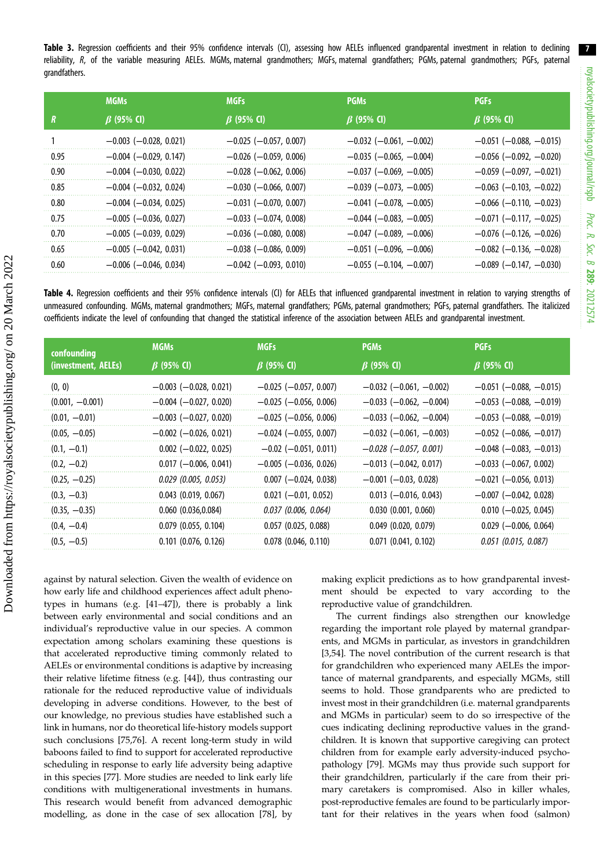7

<span id="page-7-0"></span>Table 3. Regression coefficients and their 95% confidence intervals (CI), assessing how AELEs influenced grandparental investment in relation to declining reliability, R, of the variable measuring AELEs. MGMs, maternal grandmothers; MGFs, maternal grandfathers; PGMs, paternal grandmothers; PGFs, paternal grandfathers.

|      | <b>MGMs</b>                  | <b>MGFs</b>                  | <b>PGMs</b>                      | <b>PGFs</b>                      |
|------|------------------------------|------------------------------|----------------------------------|----------------------------------|
| R    | $\beta$ (95% CI)             | $\beta$ (95% CI)             | $\beta$ (95% CI)                 | $\beta$ (95% CI)                 |
|      | $-0.003$ ( $-0.028$ , 0.021) | $-0.025$ ( $-0.057, 0.007$ ) | $-0.032$ ( $-0.061$ , $-0.002$ ) | $-0.051$ ( $-0.088$ , $-0.015$ ) |
| 0.95 | $-0.004$ ( $-0.029$ , 0.147) | $-0.026$ ( $-0.059$ , 0.006) | $-0.035$ ( $-0.065$ , $-0.004$ ) | $-0.056$ ( $-0.092$ , $-0.020$ ) |
| 0.90 | $-0.004$ ( $-0.030$ , 0.022) | $-0.028$ ( $-0.062$ , 0.006) | $-0.037$ ( $-0.069$ , $-0.005$ ) | $-0.059$ ( $-0.097$ , $-0.021$ ) |
| 0.85 | $-0.004$ ( $-0.032$ , 0.024) | $-0.030$ ( $-0.066$ , 0.007) | $-0.039$ ( $-0.073$ , $-0.005$ ) | $-0.063$ ( $-0.103$ , $-0.022$ ) |
| 0.80 | $-0.004$ ( $-0.034$ , 0.025) | $-0.031$ ( $-0.070, 0.007$ ) | $-0.041$ ( $-0.078$ , $-0.005$ ) | $-0.066$ ( $-0.110$ , $-0.023$ ) |
| 0.75 | $-0.005$ ( $-0.036$ , 0.027) | $-0.033$ ( $-0.074$ , 0.008) | $-0.044$ ( $-0.083$ , $-0.005$ ) | $-0.071$ ( $-0.117$ , $-0.025$ ) |
| 0.70 | $-0.005$ ( $-0.039$ , 0.029) | $-0.036$ ( $-0.080$ , 0.008) | $-0.047$ ( $-0.089$ , $-0.006$ ) | $-0.076$ ( $-0.126$ , $-0.026$ ) |
| 0.65 | $-0.005$ ( $-0.042$ , 0.031) | $-0.038$ ( $-0.086$ , 0.009) | $-0.051$ ( $-0.096$ , $-0.006$ ) | $-0.082$ ( $-0.136$ , $-0.028$ ) |
| 0.60 | $-0.006$ ( $-0.046$ , 0.034) | $-0.042$ ( $-0.093$ , 0.010) | $-0.055$ ( $-0.104$ , $-0.007$ ) | $-0.089$ ( $-0.147$ , $-0.030$ ) |

Table 4. Regression coefficients and their 95% confidence intervals (CI) for AELEs that influenced grandparental investment in relation to varying strengths of unmeasured confounding. MGMs, maternal grandmothers; MGFs, maternal grandfathers; PGMs, paternal grandmothers; PGFs, paternal grandfathers. The italicized coefficients indicate the level of confounding that changed the statistical inference of the association between AELEs and grandparental investment.

| confounding<br>(investment, AELEs) | <b>MGMs</b>                  | <b>MGFs</b>                  | <b>PGMs</b>                      | <b>PGFs</b>                      |
|------------------------------------|------------------------------|------------------------------|----------------------------------|----------------------------------|
|                                    | $\beta$ (95% CI)             | $\beta$ (95% CI)             | $\beta$ (95% CI)                 | $\beta$ (95% CI)                 |
| (0, 0)                             | $-0.003$ ( $-0.028$ , 0.021) | $-0.025$ ( $-0.057, 0.007$ ) | $-0.032$ ( $-0.061$ , $-0.002$ ) | $-0.051$ ( $-0.088$ , $-0.015$ ) |
| $(0.001, -0.001)$                  | $-0.004$ ( $-0.027$ , 0.020) | $-0.025$ ( $-0.056$ , 0.006) | $-0.033$ ( $-0.062$ , $-0.004$ ) | $-0.053$ ( $-0.088$ , $-0.019$ ) |
| $(0.01, -0.01)$                    | $-0.003$ $(-0.027, 0.020)$   | $-0.025$ ( $-0.056$ , 0.006) | $-0.033$ ( $-0.062$ , $-0.004$ ) | $-0.053$ ( $-0.088$ , $-0.019$ ) |
| $(0.05, -0.05)$                    | $-0.002$ ( $-0.026$ , 0.021) | $-0.024$ ( $-0.055$ , 0.007) | $-0.032$ ( $-0.061$ , $-0.003$ ) | $-0.052$ ( $-0.086$ , $-0.017$ ) |
| $(0.1, -0.1)$                      | $0.002$ (-0.022, 0.025)      | $-0.02$ ( $-0.051$ , 0.011)  | $-0.028$ ( $-0.057$ , 0.001)     | $-0.048$ ( $-0.083$ , $-0.013$ ) |
| $(0.2, -0.2)$                      | $0.017$ (-0.006, 0.041)      | $-0.005$ ( $-0.036$ , 0.026) | $-0.013$ $(-0.042, 0.017)$       | $-0.033$ $(-0.067, 0.002)$       |
| $(0.25, -0.25)$                    | $0.029$ (0.005, 0.053)       | $0.007$ (-0.024, 0.038)      | $-0.001$ ( $-0.03$ , 0.028)      | $-0.021$ ( $-0.056$ , 0.013)     |
| $(0.3, -0.3)$                      | $0.043$ (0.019, 0.067)       | $0.021$ (-0.01, 0.052)       | $0.013$ (-0.016, 0.043)          | $-0.007$ $(-0.042, 0.028)$       |
| $(0.35, -0.35)$                    | 0.060(0.036, 0.084)          | $0.037$ (0.006, 0.064)       | $0.030$ $(0.001, 0.060)$         | $0.010$ (-0.025, 0.045)          |
| $(0.4, -0.4)$                      | $0.079$ $(0.055, 0.104)$     | $0.057$ $(0.025, 0.088)$     | $0.049$ $(0.020, 0.079)$         | $0.029$ (-0.006, 0.064)          |
| $(0.5, -0.5)$                      | $0.101$ $(0.076, 0.126)$     | $0.078$ $(0.046, 0.110)$     | $0.071$ $(0.041, 0.102)$         | $0.051$ (0.015, 0.087)           |

against by natural selection. Given the wealth of evidence on how early life and childhood experiences affect adult phenotypes in humans (e.g. [[41](#page-9-0)–[47](#page-9-0)]), there is probably a link between early environmental and social conditions and an individual's reproductive value in our species. A common expectation among scholars examining these questions is that accelerated reproductive timing commonly related to AELEs or environmental conditions is adaptive by increasing their relative lifetime fitness (e.g. [\[44](#page-9-0)]), thus contrasting our rationale for the reduced reproductive value of individuals developing in adverse conditions. However, to the best of our knowledge, no previous studies have established such a link in humans, nor do theoretical life-history models support such conclusions [\[75,76](#page-10-0)]. A recent long-term study in wild baboons failed to find to support for accelerated reproductive scheduling in response to early life adversity being adaptive in this species [\[77](#page-10-0)]. More studies are needed to link early life conditions with multigenerational investments in humans. This research would benefit from advanced demographic modelling, as done in the case of sex allocation [\[78](#page-10-0)], by making explicit predictions as to how grandparental investment should be expected to vary according to the reproductive value of grandchildren.

The current findings also strengthen our knowledge regarding the important role played by maternal grandparents, and MGMs in particular, as investors in grandchildren [[3](#page-8-0)[,54](#page-10-0)]. The novel contribution of the current research is that for grandchildren who experienced many AELEs the importance of maternal grandparents, and especially MGMs, still seems to hold. Those grandparents who are predicted to invest most in their grandchildren (i.e. maternal grandparents and MGMs in particular) seem to do so irrespective of the cues indicating declining reproductive values in the grandchildren. It is known that supportive caregiving can protect children from for example early adversity-induced psychopathology [[79\]](#page-10-0). MGMs may thus provide such support for their grandchildren, particularly if the care from their primary caretakers is compromised. Also in killer whales, post-reproductive females are found to be particularly important for their relatives in the years when food (salmon)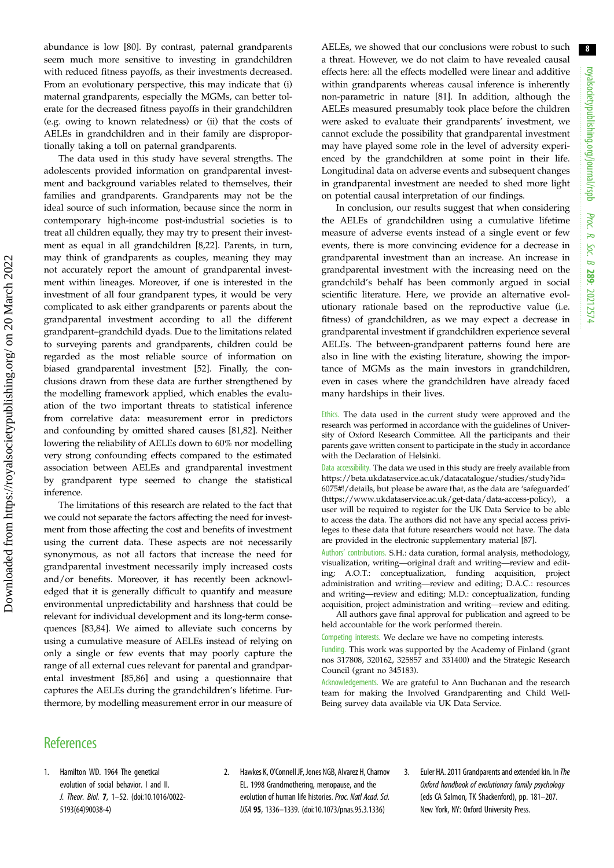<span id="page-8-0"></span>abundance is low [[80\]](#page-10-0). By contrast, paternal grandparents seem much more sensitive to investing in grandchildren with reduced fitness payoffs, as their investments decreased. From an evolutionary perspective, this may indicate that (i) maternal grandparents, especially the MGMs, can better tolerate for the decreased fitness payoffs in their grandchildren (e.g. owing to known relatedness) or (ii) that the costs of AELEs in grandchildren and in their family are disproportionally taking a toll on paternal grandparents.

The data used in this study have several strengths. The adolescents provided information on grandparental investment and background variables related to themselves, their families and grandparents. Grandparents may not be the ideal source of such information, because since the norm in contemporary high-income post-industrial societies is to treat all children equally, they may try to present their investment as equal in all grandchildren [\[8,22](#page-9-0)]. Parents, in turn, may think of grandparents as couples, meaning they may not accurately report the amount of grandparental investment within lineages. Moreover, if one is interested in the investment of all four grandparent types, it would be very complicated to ask either grandparents or parents about the grandparental investment according to all the different grandparent–grandchild dyads. Due to the limitations related to surveying parents and grandparents, children could be regarded as the most reliable source of information on biased grandparental investment [\[52](#page-10-0)]. Finally, the conclusions drawn from these data are further strengthened by the modelling framework applied, which enables the evaluation of the two important threats to statistical inference from correlative data: measurement error in predictors and confounding by omitted shared causes [[81,82\]](#page-10-0). Neither lowering the reliability of AELEs down to 60% nor modelling very strong confounding effects compared to the estimated association between AELEs and grandparental investment by grandparent type seemed to change the statistical inference.

The limitations of this research are related to the fact that we could not separate the factors affecting the need for investment from those affecting the cost and benefits of investment using the current data. These aspects are not necessarily synonymous, as not all factors that increase the need for grandparental investment necessarily imply increased costs and/or benefits. Moreover, it has recently been acknowledged that it is generally difficult to quantify and measure environmental unpredictability and harshness that could be relevant for individual development and its long-term consequences [\[83,84](#page-10-0)]. We aimed to alleviate such concerns by using a cumulative measure of AELEs instead of relying on only a single or few events that may poorly capture the range of all external cues relevant for parental and grandparental investment [[85,86\]](#page-10-0) and using a questionnaire that captures the AELEs during the grandchildren's lifetime. Furthermore, by modelling measurement error in our measure of AELEs, we showed that our conclusions were robust to such a threat. However, we do not claim to have revealed causal effects here: all the effects modelled were linear and additive within grandparents whereas causal inference is inherently non-parametric in nature [[81\]](#page-10-0). In addition, although the AELEs measured presumably took place before the children were asked to evaluate their grandparents' investment, we cannot exclude the possibility that grandparental investment may have played some role in the level of adversity experienced by the grandchildren at some point in their life. Longitudinal data on adverse events and subsequent changes in grandparental investment are needed to shed more light on potential causal interpretation of our findings.

In conclusion, our results suggest that when considering the AELEs of grandchildren using a cumulative lifetime measure of adverse events instead of a single event or few events, there is more convincing evidence for a decrease in grandparental investment than an increase. An increase in grandparental investment with the increasing need on the grandchild's behalf has been commonly argued in social scientific literature. Here, we provide an alternative evolutionary rationale based on the reproductive value (i.e. fitness) of grandchildren, as we may expect a decrease in grandparental investment if grandchildren experience several AELEs. The between-grandparent patterns found here are also in line with the existing literature, showing the importance of MGMs as the main investors in grandchildren, even in cases where the grandchildren have already faced many hardships in their lives.

Ethics. The data used in the current study were approved and the research was performed in accordance with the guidelines of University of Oxford Research Committee. All the participants and their parents gave written consent to participate in the study in accordance with the Declaration of Helsinki.

Data accessibility. The data we used in this study are freely available from [https://beta.ukdataservice.ac.uk/datacatalogue/studies/study?id=](https://beta.ukdataservice.ac.uk/datacatalogue/studies/study?id=6075#!/details) [6075#!/details,](https://beta.ukdataservice.ac.uk/datacatalogue/studies/study?id=6075#!/details) but please be aware that, as the data are 'safeguarded' [\(https://www.ukdataservice.ac.uk/get-data/data-access-policy\)](https://www.ukdataservice.ac.uk/get-data/data-access-policy), a user will be required to register for the UK Data Service to be able to access the data. The authors did not have any special access privileges to these data that future researchers would not have. The data are provided in the electronic supplementary material [\[87](#page-10-0)].

Authors' contributions. S.H.: data curation, formal analysis, methodology, visualization, writing—original draft and writing—review and editing; A.O.T.: conceptualization, funding acquisition, project administration and writing—review and editing; D.A.C.: resources and writing—review and editing; M.D.: conceptualization, funding acquisition, project administration and writing—review and editing.

All authors gave final approval for publication and agreed to be held accountable for the work performed therein.

Competing interests. We declare we have no competing interests.

Funding. This work was supported by the Academy of Finland (grant nos 317808, 320162, 325857 and 331400) and the Strategic Research Council (grant no 345183).

Acknowledgements. We are grateful to Ann Buchanan and the research team for making the Involved Grandparenting and Child Well-Being survey data available via UK Data Service.

## **References**

- 1. Hamilton WD. 1964 The genetical evolution of social behavior. I and II. J. Theor. Biol. 7, 1–52. [\(doi:10.1016/0022-](http://dx.doi.org/10.1016/0022-5193(64)90038-4) [5193\(64\)90038-4\)](http://dx.doi.org/10.1016/0022-5193(64)90038-4)
- 2. Hawkes K, O'Connell JF, Jones NGB, Alvarez H, Charnov EL. 1998 Grandmothering, menopause, and the evolution of human life histories. Proc. Natl Acad. Sci. USA 95, 1336–1339. ([doi:10.1073/pnas.95.3.1336\)](http://dx.doi.org/10.1073/pnas.95.3.1336)
- 3. Euler HA. 2011 Grandparents and extended kin. In The Oxford handbook of evolutionary family psychology (eds CA Salmon, TK Shackenford), pp. 181–207. New York, NY: Oxford University Press.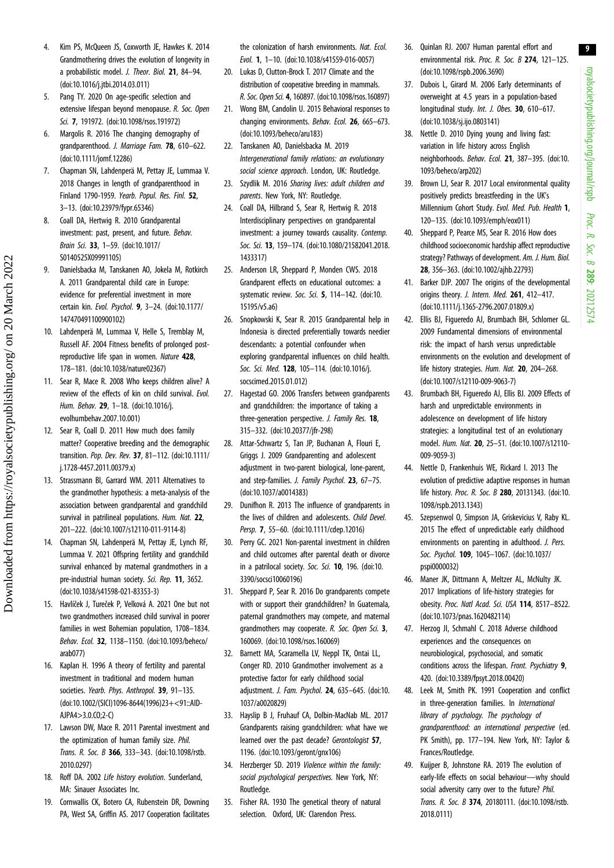royalsocietypublishing.org/journal/rspb royalsocietypublishing.org/journal/rspb Proc. R. Soc. $\sigma$ 289: 20212574

9

- <span id="page-9-0"></span>4. Kim PS, McQueen JS, Coxworth JE, Hawkes K. 2014 Grandmothering drives the evolution of longevity in a probabilistic model. J. Theor. Biol. 21, 84–94. [\(doi:10.1016/j.jtbi.2014.03.011\)](http://dx.doi.org/10.1016/j.jtbi.2014.03.011)
- 5. Pang TY. 2020 On age-specific selection and extensive lifespan beyond menopause. R. Soc. Open Sci. 7, 191972. ([doi:10.1098/rsos.191972\)](http://dx.doi.org/10.1098/rsos.191972)
- 6. Margolis R. 2016 The changing demography of grandparenthood. J. Marriage Fam. 78, 610–622. [\(doi:10.1111/jomf.12286](http://dx.doi.org/10.1111/jomf.12286))
- 7. Chapman SN, Lahdenperä M, Pettay JE, Lummaa V. 2018 Changes in length of grandparenthood in Finland 1790-1959. Yearb. Popul. Res. Finl. 52, 3–13. ([doi:10.23979/fypr.65346\)](http://dx.doi.org/10.23979/fypr.65346)
- 8. Coall DA, Hertwig R. 2010 Grandparental investment: past, present, and future. Behav. Brain Sci. 33, 1–59. ([doi:10.1017/](http://dx.doi.org/10.1017/S0140525X09991105) [S0140525X09991105](http://dx.doi.org/10.1017/S0140525X09991105))
- 9. Danielsbacka M, Tanskanen AO, Jokela M, Rotkirch A. 2011 Grandparental child care in Europe: evidence for preferential investment in more certain kin. Evol. Psychol. 9, 3–24. [\(doi:10.1177/](https://doi.org/10.1177/147470491100900102) [147470491100900102\)](https://doi.org/10.1177/147470491100900102)
- 10. Lahdenperä M, Lummaa V, Helle S, Tremblay M, Russell AF. 2004 Fitness benefits of prolonged postreproductive life span in women. Nature 428. 178–181. ([doi:10.1038/nature02367\)](http://dx.doi.org/10.1038/nature02367)
- 11. Sear R, Mace R. 2008 Who keeps children alive? A review of the effects of kin on child survival. Evol. Hum. Behav. 29, 1–18. [\(doi:10.1016/j.](http://dx.doi.org/10.1016/j.evolhumbehav.2007.10.001) [evolhumbehav.2007.10.001\)](http://dx.doi.org/10.1016/j.evolhumbehav.2007.10.001)
- 12. Sear R, Coall D. 2011 How much does family matter? Cooperative breeding and the demographic transition. Pop. Dev. Rev. 37, 81–112. ([doi:10.1111/](http://dx.doi.org/10.1111/j.1728-4457.2011.00379.x) [j.1728-4457.2011.00379.x](http://dx.doi.org/10.1111/j.1728-4457.2011.00379.x))
- 13. Strassmann BI, Garrard WM. 2011 Alternatives to the grandmother hypothesis: a meta-analysis of the association between grandparental and grandchild survival in patrilineal populations. Hum. Nat. 22, 201–222. ([doi:10.1007/s12110-011-9114-8](http://dx.doi.org/10.1007/s12110-011-9114-8))
- 14. Chapman SN, Lahdenperä M, Pettay JE, Lynch RF, Lummaa V. 2021 Offspring fertility and grandchild survival enhanced by maternal grandmothers in a pre-industrial human society. Sci. Rep. 11, 3652. [\(doi:10.1038/s41598-021-83353-3](http://dx.doi.org/10.1038/s41598-021-83353-3))
- 15. Havlíček J, Tureček P, Velková A. 2021 One but not two grandmothers increased child survival in poorer families in west Bohemian population, 1708–1834. Behav. Ecol. 32, 1138–1150. ([doi:10.1093/beheco/](http://dx.doi.org/10.1093/beheco/arab077) [arab077](http://dx.doi.org/10.1093/beheco/arab077))
- 16. Kaplan H. 1996 A theory of fertility and parental investment in traditional and modern human societies. Yearb. Phys. Anthropol. 39, 91-135. [\(doi:10.1002/\(SICI\)1096-8644\(1996\)23+<91::AID-](http://dx.doi.org/10.1002/(SICI)1096-8644(1996)23+%3C91::AID-AJPA4%3E3.0.CO;2-C)[AJPA4>3.0.CO;2-C](http://dx.doi.org/10.1002/(SICI)1096-8644(1996)23+%3C91::AID-AJPA4%3E3.0.CO;2-C))
- 17. Lawson DW, Mace R. 2011 Parental investment and the optimization of human family size. Phil. Trans. R. Soc. B 366, 333–343. ([doi:10.1098/rstb.](http://dx.doi.org/10.1098/rstb.2010.0297) [2010.0297\)](http://dx.doi.org/10.1098/rstb.2010.0297)
- 18. Roff DA, 2002 Life history evolution. Sunderland, MA: Sinauer Associates Inc.
- 19. Cornwallis CK, Botero CA, Rubenstein DR, Downing PA, West SA, Griffin AS. 2017 Cooperation facilitates

the colonization of harsh environments. Nat. Ecol. Evol. 1, 1–10. [\(doi:10.1038/s41559-016-0057\)](http://dx.doi.org/10.1038/s41559-016-0057)

- 20. Lukas D, Clutton-Brock T. 2017 Climate and the distribution of cooperative breeding in mammals. R. Soc. Open Sci. 4, 160897. ([doi:10.1098/rsos.160897\)](http://dx.doi.org/10.1098/rsos.160897)
- 21. Wong BM, Candolin U. 2015 Behavioral responses to changing environments. Behav. Ecol. 26, 665–673. [\(doi:10.1093/beheco/aru183\)](http://dx.doi.org/10.1093/beheco/aru183)
- 22. Tanskanen AO, Danielsbacka M. 2019 Intergenerational family relations: an evolutionary social science approach. London, UK: Routledge.
- 23. Szydlik M. 2016 Sharing lives: adult children and parents. New York, NY: Routledge.
- 24. Coall DA, Hilbrand S, Sear R, Hertwig R. 2018 Interdisciplinary perspectives on grandparental investment: a journey towards causality. Contemp. Soc. Sci. 13, 159–174. ([doi:10.1080/21582041.2018.](http://dx.doi.org/10.1080/21582041.2018.1433317) [1433317\)](http://dx.doi.org/10.1080/21582041.2018.1433317)
- 25. Anderson LR, Sheppard P, Monden CWS. 2018 Grandparent effects on educational outcomes: a systematic review. Soc. Sci. 5, 114-142. ([doi:10.](http://dx.doi.org/10.15195/v5.a6) [15195/v5.a6\)](http://dx.doi.org/10.15195/v5.a6)
- 26. Snopkowski K, Sear R. 2015 Grandparental help in Indonesia is directed preferentially towards needier descendants: a potential confounder when exploring grandparental influences on child health. Soc. Sci. Med. 128, 105-114. [\(doi:10.1016/j.](http://dx.doi.org/10.1016/j.socscimed.2015.01.012) [socscimed.2015.01.012\)](http://dx.doi.org/10.1016/j.socscimed.2015.01.012)
- 27. Hagestad GO. 2006 Transfers between grandparents and grandchildren: the importance of taking a three-generation perspective. J. Family Res. 18, 315–332. ([doi:10.20377/jfr-298\)](http://dx.doi.org/10.20377/jfr-298)
- 28. Attar-Schwartz S, Tan JP, Buchanan A, Flouri E, Griggs J. 2009 Grandparenting and adolescent adjustment in two-parent biological, lone-parent, and step-families. J. Family Psychol. 23, 67–75. [\(doi:10.1037/a0014383\)](http://dx.doi.org/10.1037/a0014383)
- 29. Dunifhon R. 2013 The influence of grandparents in the lives of children and adolescents. Child Devel. Persp. 7, 55–60. [\(doi:10.1111/cdep.12016](http://dx.doi.org/10.1111/cdep.12016))
- 30. Perry GC. 2021 Non-parental investment in children and child outcomes after parental death or divorce in a patrilocal society. Soc. Sci. 10, 196. [\(doi:10.](http://dx.doi.org/10.3390/socsci10060196) [3390/socsci10060196](http://dx.doi.org/10.3390/socsci10060196))
- 31. Sheppard P, Sear R. 2016 Do grandparents compete with or support their grandchildren? In Guatemala, paternal grandmothers may compete, and maternal grandmothers may cooperate. R. Soc. Open Sci. 3, 160069. [\(doi:10.1098/rsos.160069](http://dx.doi.org/10.1098/rsos.160069))
- 32. Barnett MA, Scaramella LV, Neppl TK, Ontai LL, Conger RD. 2010 Grandmother involvement as a protective factor for early childhood social adjustment. J. Fam. Psychol. 24, 635–645. [\(doi:10.](http://dx.doi.org/10.1037/a0020829) [1037/a0020829\)](http://dx.doi.org/10.1037/a0020829)
- 33. Hayslip B J, Fruhauf CA, Dolbin-MacNab ML. 2017 Grandparents raising grandchildren: what have we learned over the past decade? Gerontologist 57. 1196. [\(doi:10.1093/geront/gnx106](https://doi.org/10.1093/geront/gnx106))
- 34. Herzberger SD. 2019 Violence within the family: social psychological perspectives. New York, NY: Routledge.
- 35. Fisher RA. 1930 The genetical theory of natural selection. Oxford, UK: Clarendon Press.
- 36. Quinlan RJ. 2007 Human parental effort and environmental risk. Proc. R. Soc. B 274, 121-125. ([doi:10.1098/rspb.2006.3690\)](http://dx.doi.org/10.1098/rspb.2006.3690)
- 37. Dubois L, Girard M. 2006 Early determinants of overweight at 4.5 years in a population-based longitudinal study. Int. J. Obes. 30, 610-617. ([doi:10.1038/sj.ijo.0803141](http://dx.doi.org/10.1038/sj.ijo.0803141))
- 38. Nettle D. 2010 Dying young and living fast: variation in life history across English neighborhoods. Behav. Ecol. 21, 387–395. [\(doi:10.](http://dx.doi.org/10.1093/beheco/arp202) [1093/beheco/arp202\)](http://dx.doi.org/10.1093/beheco/arp202)
- 39. Brown LJ, Sear R. 2017 Local environmental quality positively predicts breastfeeding in the UK's Millennium Cohort Study. Evol. Med. Pub. Health 1, 120–135. [\(doi:10.1093/emph/eox011\)](http://dx.doi.org/10.1093/emph/eox011)
- 40. Sheppard P, Pearce MS, Sear R. 2016 How does childhood socioeconomic hardship affect reproductive strategy? Pathways of development. Am. J. Hum. Biol. 28, 356–363. [\(doi:10.1002/ajhb.22793](http://dx.doi.org/10.1002/ajhb.22793))
- 41. Barker DJP. 2007 The origins of the developmental origins theory. J. Intern. Med. 261, 412–417. ([doi:10.1111/j.1365-2796.2007.01809.x\)](http://dx.doi.org/10.1111/j.1365-2796.2007.01809.x)
- 42. Ellis BJ, Figueredo AJ, Brumbach BH, Schlomer GL. 2009 Fundamental dimensions of environmental risk: the impact of harsh versus unpredictable environments on the evolution and development of life history strategies. Hum. Nat. 20, 204-268. ([doi:10.1007/s12110-009-9063-7](http://dx.doi.org/10.1007/s12110-009-9063-7))
- 43. Brumbach BH, Figueredo AJ, Ellis BJ. 2009 Effects of harsh and unpredictable environments in adolescence on development of life history strategies: a longitudinal test of an evolutionary model. Hum. Nat. 20, 25–51. [\(doi:10.1007/s12110-](http://dx.doi.org/10.1007/s12110-009-9059-3) [009-9059-3\)](http://dx.doi.org/10.1007/s12110-009-9059-3)
- 44. Nettle D, Frankenhuis WE, Rickard I. 2013 The evolution of predictive adaptive responses in human life history. Proc. R. Soc. B 280, 20131343. [\(doi:10.](http://dx.doi.org/10.1098/rspb.2013.1343) [1098/rspb.2013.1343\)](http://dx.doi.org/10.1098/rspb.2013.1343)
- 45. Szepsenwol O, Simpson JA, Griskevicius V, Raby KL. 2015 The effect of unpredictable early childhood environments on parenting in adulthood. J. Pers. Soc. Psychol. 109, 1045–1067. ([doi:10.1037/](http://dx.doi.org/10.1037/pspi0000032) [pspi0000032\)](http://dx.doi.org/10.1037/pspi0000032)
- 46. Maner JK, Dittmann A, Meltzer AL, McNulty JK. 2017 Implications of life-history strategies for obesity. Proc. Natl Acad. Sci. USA 114, 8517–8522. ([doi:10.1073/pnas.1620482114\)](http://dx.doi.org/10.1073/pnas.1620482114)
- 47. Herzog JI, Schmahl C. 2018 Adverse childhood experiences and the consequences on neurobiological, psychosocial, and somatic conditions across the lifespan. Front. Psychiatry 9, 420. ([doi:10.3389/fpsyt.2018.00420](http://dx.doi.org/10.3389/fpsyt.2018.00420))
- 48. Leek M, Smith PK. 1991 Cooperation and conflict in three-generation families. In International library of psychology. The psychology of grandparenthood: an international perspective (ed. PK Smith), pp. 177–194. New York, NY: Taylor & Frances/Routledge.
- 49. Kuijper B, Johnstone RA. 2019 The evolution of early-life effects on social behaviour—why should social adversity carry over to the future? Phil. Trans. R. Soc. B 374, 20180111. ([doi:10.1098/rstb.](http://dx.doi.org/10.1098/rstb.2018.0111) [2018.0111](http://dx.doi.org/10.1098/rstb.2018.0111))